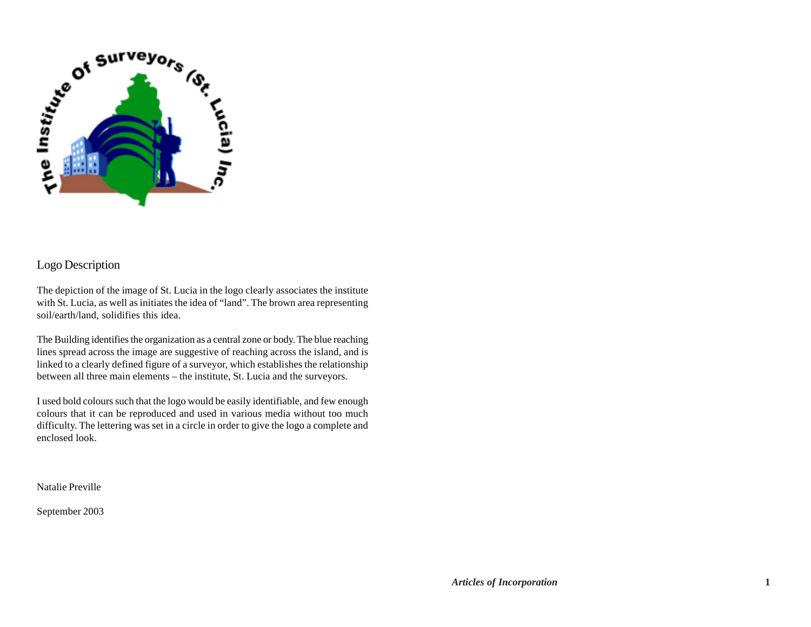

# Logo Description

The depiction of the image of St. Lucia in the logo clearly associates the institute with St. Lucia, as well as initiates the idea of "land". The brown area representing soil/earth/land, solidifies this idea.

The Building identifies the organization as a central zone or body. The blue reaching lines spread across the image are suggestive of reaching across the island, and is linked to a clearly defined figure of a surveyor, which establishes the relationship between all three main elements – the institute, St. Lucia and the surveyors.

I used bold colours such that the logo would be easily identifiable, and few enough colours that it can be reproduced and used in various media without too much difficulty. The lettering was set in a circle in order to give the logo a complete and enclosed look.

Natalie Preville

September 2003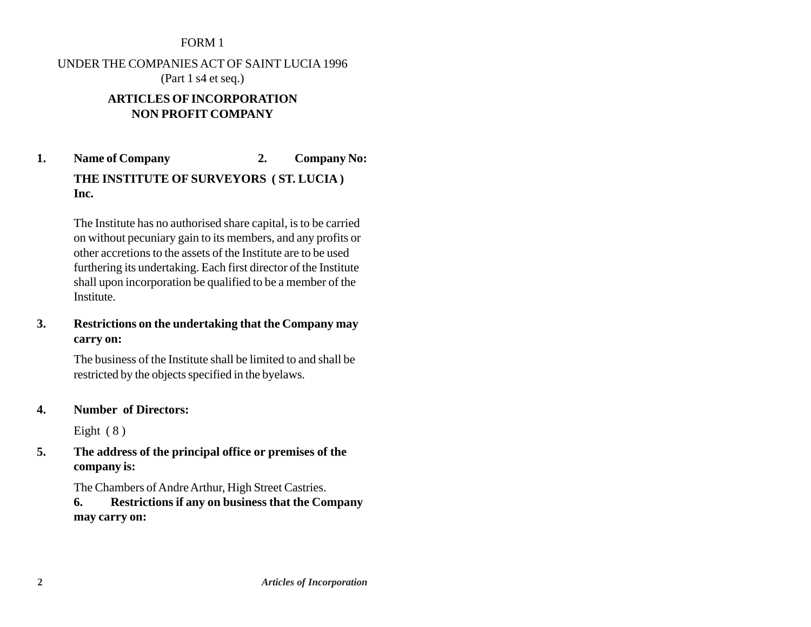#### FORM 1

UNDER THE COMPANIES ACT OF SAINT LUCIA 1996 (Part 1 s4 et seq.)

### **ARTICLES OF INCORPORATION NON PROFIT COMPANY**

**1. Name of Company 2. Company No: THE INSTITUTE OF SURVEYORS ( ST. LUCIA ) Inc.**

> The Institute has no authorised share capital, is to be carried on without pecuniary gain to its members, and any profits or other accretions to the assets of the Institute are to be used furthering its undertaking. Each first director of the Institute shall upon incorporation be qualified to be a member of the Institute.

### **3. Restrictions on the undertaking that the Company may carry on:**

The business of the Institute shall be limited to and shall be restricted by the objects specified in the byelaws.

**4. Number of Directors:**

Eight  $(8)$ 

**5. The address of the principal office or premises of the company is:**

The Chambers of Andre Arthur, High Street Castries.

**6. Restrictions if any on business that the Company may carry on:**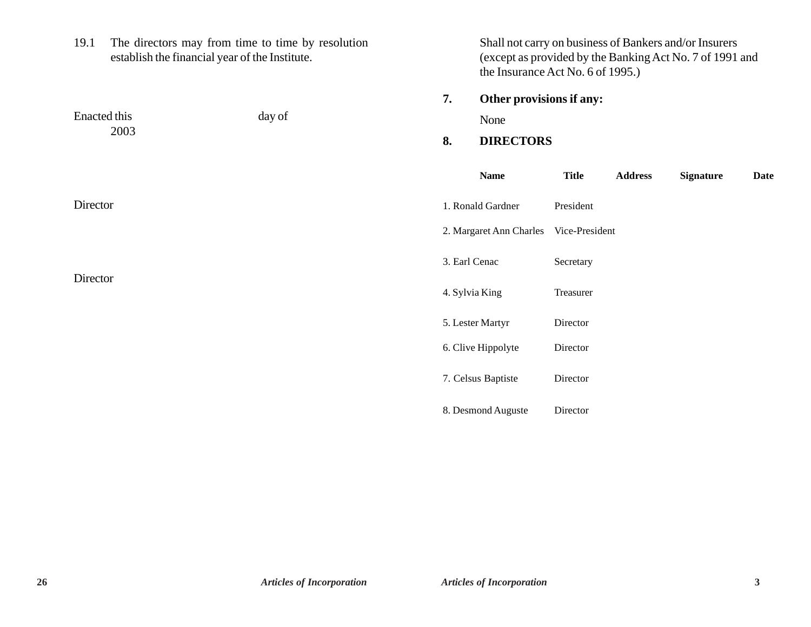19.1 The directors may from time to time by resolution establish the financial year of the Institute.

Enacted this day of

2003

Shall not carry on business of Bankers and/or Insurers (except as provided by the Banking Act No. 7 of 1991 and the Insurance Act No. 6 of 1995.)

**7. Other provisions if any:**

None

# **8. DIRECTORS**

|          | <b>Name</b>             | <b>Title</b>   | <b>Address</b> | <b>Signature</b> | Date |
|----------|-------------------------|----------------|----------------|------------------|------|
| Director | 1. Ronald Gardner       | President      |                |                  |      |
|          | 2. Margaret Ann Charles | Vice-President |                |                  |      |
| Director | 3. Earl Cenac           | Secretary      |                |                  |      |
|          | 4. Sylvia King          | Treasurer      |                |                  |      |
|          | 5. Lester Martyr        | Director       |                |                  |      |
|          | 6. Clive Hippolyte      | Director       |                |                  |      |
|          | 7. Celsus Baptiste      | Director       |                |                  |      |
|          | 8. Desmond Auguste      | Director       |                |                  |      |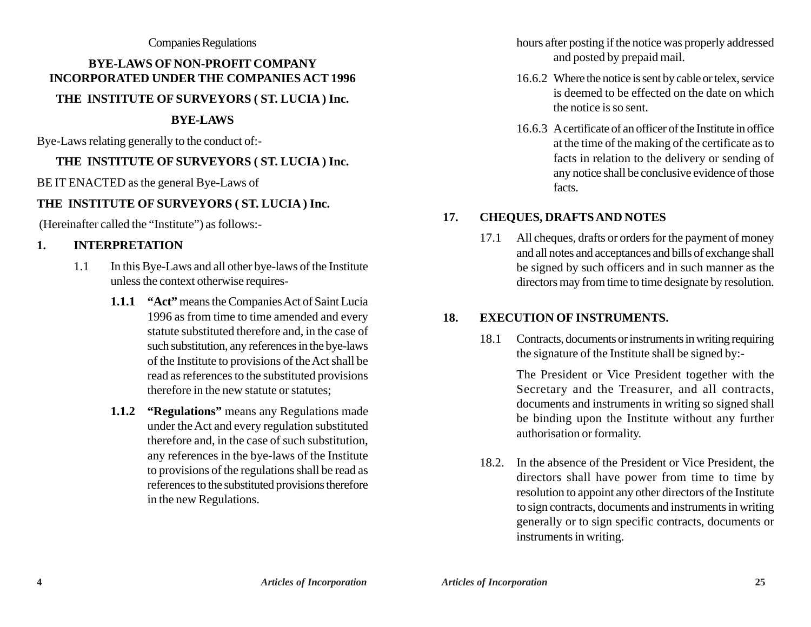#### Companies Regulations

# **BYE-LAWS OF NON-PROFIT COMPANY INCORPORATED UNDER THE COMPANIES ACT 1996 THE INSTITUTE OF SURVEYORS ( ST. LUCIA ) Inc.**

#### **BYE-LAWS**

Bye-Laws relating generally to the conduct of:-

# **THE INSTITUTE OF SURVEYORS ( ST. LUCIA ) Inc.**

BE IT ENACTED as the general Bye-Laws of

# **THE INSTITUTE OF SURVEYORS ( ST. LUCIA ) Inc.**

(Hereinafter called the "Institute") as follows:-

# **1. INTERPRETATION**

- 1.1 In this Bye-Laws and all other bye-laws of the Institute unless the context otherwise requires-
	- **1.1.1 "Act"** means the Companies Act of Saint Lucia 1996 as from time to time amended and every statute substituted therefore and, in the case of such substitution, any references in the bye-laws of the Institute to provisions of the Act shall be read as references to the substituted provisions therefore in the new statute or statutes;
	- **1.1.2 "Regulations"** means any Regulations made under the Act and every regulation substituted therefore and, in the case of such substitution, any references in the bye-laws of the Institute to provisions of the regulations shall be read as references to the substituted provisions therefore in the new Regulations.

hours after posting if the notice was properly addressed and posted by prepaid mail.

- 16.6.2 Where the notice is sent by cable or telex, service is deemed to be effected on the date on which the notice is so sent.
- 16.6.3 A certificate of an officer of the Institute in office at the time of the making of the certificate as to facts in relation to the delivery or sending of any notice shall be conclusive evidence of those facts.

# **17. CHEQUES, DRAFTS AND NOTES**

17.1 All cheques, drafts or orders for the payment of money and all notes and acceptances and bills of exchange shall be signed by such officers and in such manner as the directors may from time to time designate by resolution.

# **18. EXECUTION OF INSTRUMENTS.**

18.1 Contracts, documents or instruments in writing requiring the signature of the Institute shall be signed by:-

> The President or Vice President together with the Secretary and the Treasurer, and all contracts, documents and instruments in writing so signed shall be binding upon the Institute without any further authorisation or formality.

18.2. In the absence of the President or Vice President, the directors shall have power from time to time by resolution to appoint any other directors of the Institute to sign contracts, documents and instruments in writing generally or to sign specific contracts, documents or instruments in writing.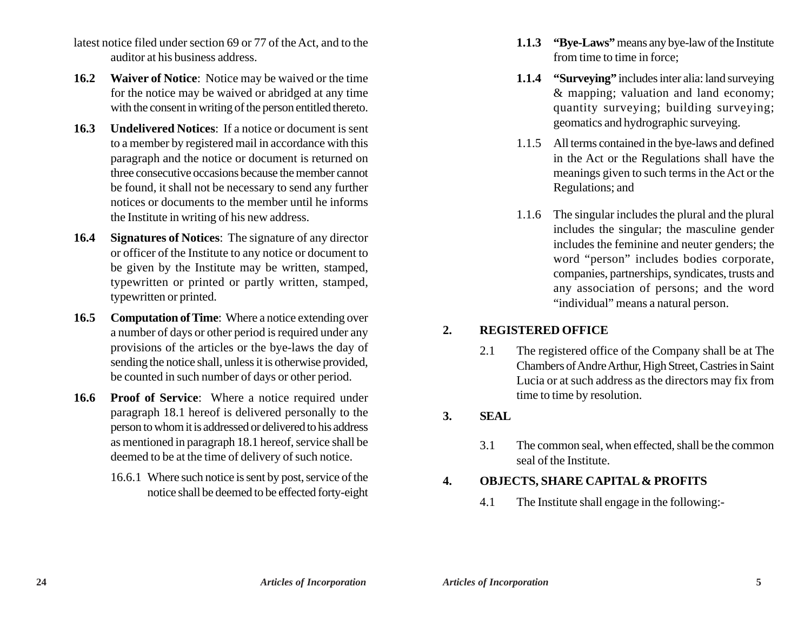- latest notice filed under section 69 or 77 of the Act, and to the auditor at his business address.
- **16.2 Waiver of Notice**: Notice may be waived or the time for the notice may be waived or abridged at any time with the consent in writing of the person entitled thereto.
- **16.3 Undelivered Notices**: If a notice or document is sent to a member by registered mail in accordance with this paragraph and the notice or document is returned on three consecutive occasions because the member cannot be found, it shall not be necessary to send any further notices or documents to the member until he informs the Institute in writing of his new address.
- **16.4 Signatures of Notices**: The signature of any director or officer of the Institute to any notice or document to be given by the Institute may be written, stamped, typewritten or printed or partly written, stamped, typewritten or printed.
- **16.5 Computation of Time**: Where a notice extending over a number of days or other period is required under any provisions of the articles or the bye-laws the day of sending the notice shall, unless it is otherwise provided, be counted in such number of days or other period.
- **16.6 Proof of Service**: Where a notice required under paragraph 18.1 hereof is delivered personally to the person to whom it is addressed or delivered to his address as mentioned in paragraph 18.1 hereof, service shall be deemed to be at the time of delivery of such notice.
	- 16.6.1 Where such notice is sent by post, service of the notice shall be deemed to be effected forty-eight
- **1.1.3 "Bye-Laws"** means any bye-law of the Institute from time to time in force;
- **1.1.4 "Surveying"** includes inter alia: land surveying & mapping; valuation and land economy; quantity surveying; building surveying; geomatics and hydrographic surveying.
- 1.1.5 All terms contained in the bye-laws and defined in the Act or the Regulations shall have the meanings given to such terms in the Act or the Regulations; and
- 1.1.6 The singular includes the plural and the plural includes the singular; the masculine gender includes the feminine and neuter genders; the word "person" includes bodies corporate, companies, partnerships, syndicates, trusts and any association of persons; and the word "individual" means a natural person.

### **2. REGISTERED OFFICE**

2.1 The registered office of the Company shall be at The Chambers of Andre Arthur, High Street, Castries in Saint Lucia or at such address as the directors may fix from time to time by resolution.

### **3. SEAL**

3.1 The common seal, when effected, shall be the common seal of the Institute.

### **4. OBJECTS, SHARE CAPITAL & PROFITS**

4.1 The Institute shall engage in the following:-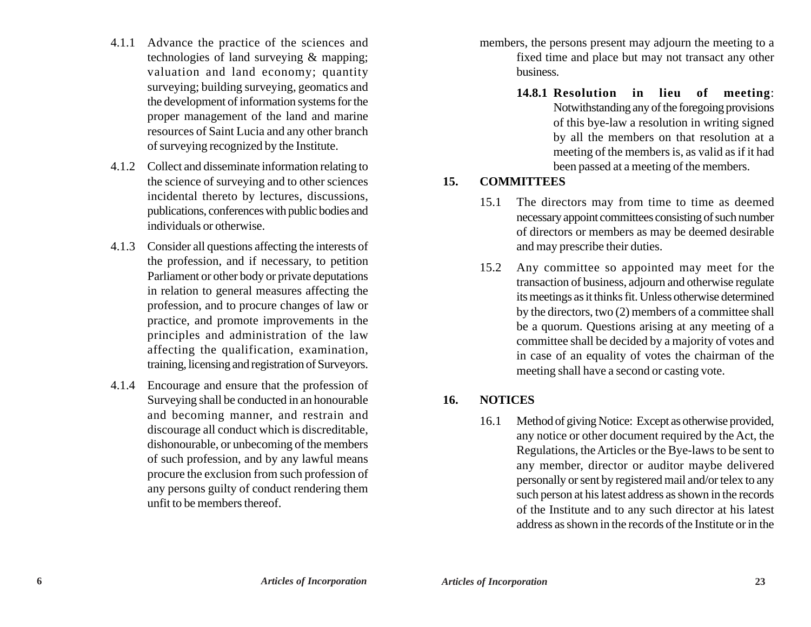- 4.1.1 Advance the practice of the sciences and technologies of land surveying & mapping; valuation and land economy; quantity surveying; building surveying, geomatics and the development of information systems for the proper management of the land and marine resources of Saint Lucia and any other branch of surveying recognized by the Institute.
- 4.1.2 Collect and disseminate information relating to the science of surveying and to other sciences incidental thereto by lectures, discussions, publications, conferences with public bodies and individuals or otherwise.
- 4.1.3 Consider all questions affecting the interests of the profession, and if necessary, to petition Parliament or other body or private deputations in relation to general measures affecting the profession, and to procure changes of law or practice, and promote improvements in the principles and administration of the law affecting the qualification, examination, training, licensing and registration of Surveyors.
- 4.1.4 Encourage and ensure that the profession of Surveying shall be conducted in an honourable and becoming manner, and restrain and discourage all conduct which is discreditable, dishonourable, or unbecoming of the members of such profession, and by any lawful means procure the exclusion from such profession of any persons guilty of conduct rendering them unfit to be members thereof.

members, the persons present may adjourn the meeting to a fixed time and place but may not transact any other business.

> **14.8.1 Resolution in lieu of meeting**: Notwithstanding any of the foregoing provisions of this bye-law a resolution in writing signed by all the members on that resolution at a meeting of the members is, as valid as if it had been passed at a meeting of the members.

### **15. COMMITTEES**

- 15.1 The directors may from time to time as deemed necessary appoint committees consisting of such number of directors or members as may be deemed desirable and may prescribe their duties.
- 15.2 Any committee so appointed may meet for the transaction of business, adjourn and otherwise regulate its meetings as it thinks fit. Unless otherwise determined by the directors, two (2) members of a committee shall be a quorum. Questions arising at any meeting of a committee shall be decided by a majority of votes and in case of an equality of votes the chairman of the meeting shall have a second or casting vote.

#### **16. NOTICES**

16.1 Method of giving Notice: Except as otherwise provided, any notice or other document required by the Act, the Regulations, the Articles or the Bye-laws to be sent to any member, director or auditor maybe delivered personally or sent by registered mail and/or telex to any such person at his latest address as shown in the records of the Institute and to any such director at his latest address as shown in the records of the Institute or in the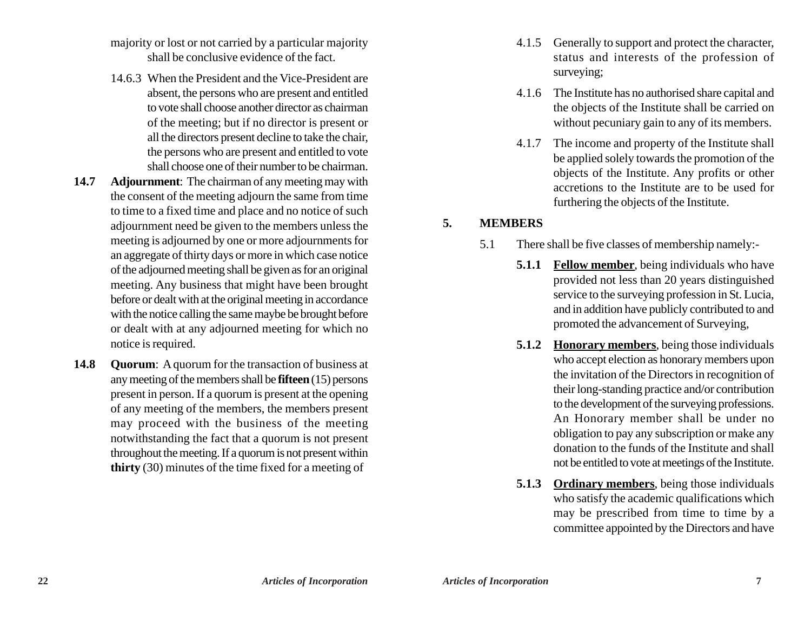- majority or lost or not carried by a particular majority shall be conclusive evidence of the fact.
- 14.6.3 When the President and the Vice-President are absent, the persons who are present and entitled to vote shall choose another director as chairman of the meeting; but if no director is present or all the directors present decline to take the chair, the persons who are present and entitled to vote shall choose one of their number to be chairman.
- **14.7 Adjournment**: The chairman of any meeting may with the consent of the meeting adjourn the same from time to time to a fixed time and place and no notice of such adjournment need be given to the members unless the meeting is adjourned by one or more adjournments for an aggregate of thirty days or more in which case notice of the adjourned meeting shall be given as for an original meeting. Any business that might have been brought before or dealt with at the original meeting in accordance with the notice calling the same maybe be brought before or dealt with at any adjourned meeting for which no notice is required.
- **14.8 Quorum**: A quorum for the transaction of business at any meeting of the members shall be **fifteen** (15) persons present in person. If a quorum is present at the opening of any meeting of the members, the members present may proceed with the business of the meeting notwithstanding the fact that a quorum is not present throughout the meeting. If a quorum is not present within **thirty** (30) minutes of the time fixed for a meeting of
- 4.1.5 Generally to support and protect the character, status and interests of the profession of surveying;
- 4.1.6 The Institute has no authorised share capital and the objects of the Institute shall be carried on without pecuniary gain to any of its members.
- 4.1.7 The income and property of the Institute shall be applied solely towards the promotion of the objects of the Institute. Any profits or other accretions to the Institute are to be used for furthering the objects of the Institute.

#### **5. MEMBERS**

- 5.1 There shall be five classes of membership namely:-
	- **5.1.1 Fellow member**, being individuals who have provided not less than 20 years distinguished service to the surveying profession in St. Lucia, and in addition have publicly contributed to and promoted the advancement of Surveying,
	- **5.1.2 Honorary members**, being those individuals who accept election as honorary members upon the invitation of the Directors in recognition of their long-standing practice and/or contribution to the development of the surveying professions. An Honorary member shall be under no obligation to pay any subscription or make any donation to the funds of the Institute and shall not be entitled to vote at meetings of the Institute.
	- **5.1.3 Ordinary members**, being those individuals who satisfy the academic qualifications which may be prescribed from time to time by a committee appointed by the Directors and have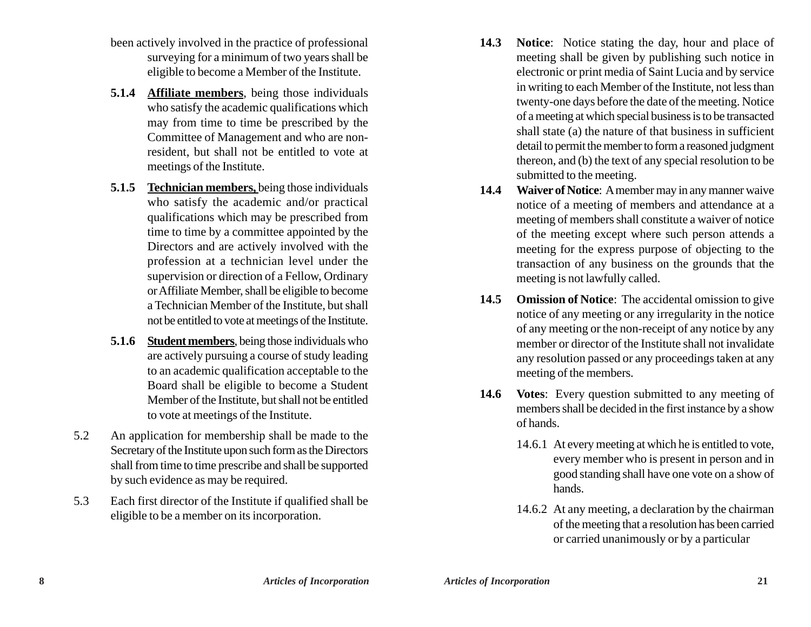- been actively involved in the practice of professional surveying for a minimum of two years shall be eligible to become a Member of the Institute.
- **5.1.4 Affiliate members**, being those individuals who satisfy the academic qualifications which may from time to time be prescribed by the Committee of Management and who are nonresident, but shall not be entitled to vote at meetings of the Institute.
- **5.1.5 Technician members,** being those individuals who satisfy the academic and/or practical qualifications which may be prescribed from time to time by a committee appointed by the Directors and are actively involved with the profession at a technician level under the supervision or direction of a Fellow, Ordinary or Affiliate Member, shall be eligible to become a Technician Member of the Institute, but shall not be entitled to vote at meetings of the Institute.
- **5.1.6 Student members**, being those individuals who are actively pursuing a course of study leading to an academic qualification acceptable to the Board shall be eligible to become a Student Member of the Institute, but shall not be entitled to vote at meetings of the Institute.
- 5.2 An application for membership shall be made to the Secretary of the Institute upon such form as the Directors shall from time to time prescribe and shall be supported by such evidence as may be required.
- 5.3 Each first director of the Institute if qualified shall be eligible to be a member on its incorporation.
- **14.3 Notice**: Notice stating the day, hour and place of meeting shall be given by publishing such notice in electronic or print media of Saint Lucia and by service in writing to each Member of the Institute, not less than twenty-one days before the date of the meeting. Notice of a meeting at which special business is to be transacted shall state (a) the nature of that business in sufficient detail to permit the member to form a reasoned judgment thereon, and (b) the text of any special resolution to be submitted to the meeting.
- **14.4 Waiver of Notice**: A member may in any manner waive notice of a meeting of members and attendance at a meeting of members shall constitute a waiver of notice of the meeting except where such person attends a meeting for the express purpose of objecting to the transaction of any business on the grounds that the meeting is not lawfully called.
- **14.5 Omission of Notice**: The accidental omission to give notice of any meeting or any irregularity in the notice of any meeting or the non-receipt of any notice by any member or director of the Institute shall not invalidate any resolution passed or any proceedings taken at any meeting of the members.
- **14.6 Votes**: Every question submitted to any meeting of members shall be decided in the first instance by a show of hands.
	- 14.6.1 At every meeting at which he is entitled to vote, every member who is present in person and in good standing shall have one vote on a show of hands.
	- 14.6.2 At any meeting, a declaration by the chairman of the meeting that a resolution has been carried or carried unanimously or by a particular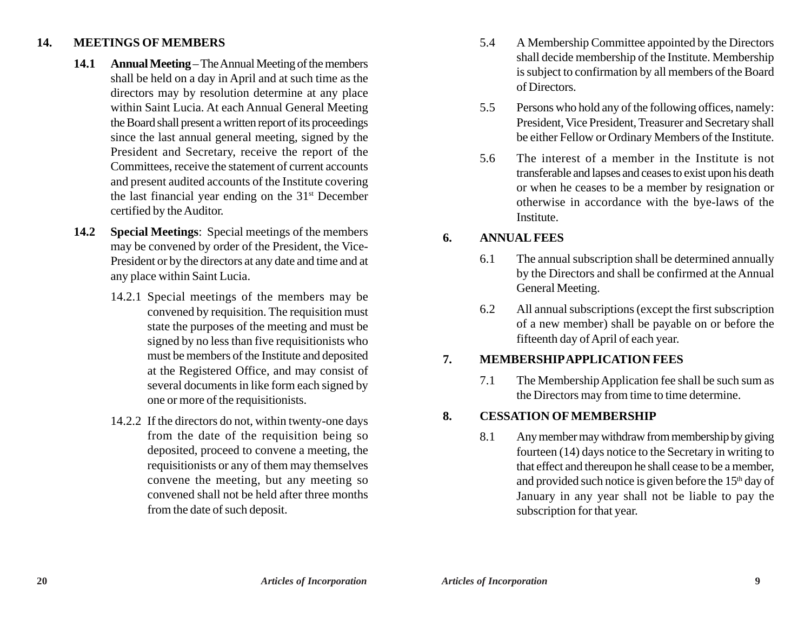### **14. MEETINGS OF MEMBERS**

- **14.1 Annual Meeting** The Annual Meeting of the members shall be held on a day in April and at such time as the directors may by resolution determine at any place within Saint Lucia. At each Annual General Meeting the Board shall present a written report of its proceedings since the last annual general meeting, signed by the President and Secretary, receive the report of the Committees, receive the statement of current accounts and present audited accounts of the Institute covering the last financial year ending on the  $31<sup>st</sup>$  December certified by the Auditor.
- **14.2 Special Meetings**: Special meetings of the members may be convened by order of the President, the Vice-President or by the directors at any date and time and at any place within Saint Lucia.
	- 14.2.1 Special meetings of the members may be convened by requisition. The requisition must state the purposes of the meeting and must be signed by no less than five requisitionists who must be members of the Institute and deposited at the Registered Office, and may consist of several documents in like form each signed by one or more of the requisitionists.
	- 14.2.2 If the directors do not, within twenty-one days from the date of the requisition being so deposited, proceed to convene a meeting, the requisitionists or any of them may themselves convene the meeting, but any meeting so convened shall not be held after three months from the date of such deposit.
- 5.4 A Membership Committee appointed by the Directors shall decide membership of the Institute. Membership is subject to confirmation by all members of the Board of Directors.
- 5.5 Persons who hold any of the following offices, namely: President, Vice President, Treasurer and Secretary shall be either Fellow or Ordinary Members of the Institute.
- 5.6 The interest of a member in the Institute is not transferable and lapses and ceases to exist upon his death or when he ceases to be a member by resignation or otherwise in accordance with the bye-laws of the Institute.

### **6. ANNUAL FEES**

- 6.1 The annual subscription shall be determined annually by the Directors and shall be confirmed at the Annual General Meeting.
- 6.2 All annual subscriptions (except the first subscription of a new member) shall be payable on or before the fifteenth day of April of each year.

### **7. MEMBERSHIP APPLICATION FEES**

7.1 The Membership Application fee shall be such sum as the Directors may from time to time determine.

### **8. CESSATION OF MEMBERSHIP**

8.1 Any member may withdraw from membership by giving fourteen (14) days notice to the Secretary in writing to that effect and thereupon he shall cease to be a member, and provided such notice is given before the  $15<sup>th</sup>$  day of January in any year shall not be liable to pay the subscription for that year.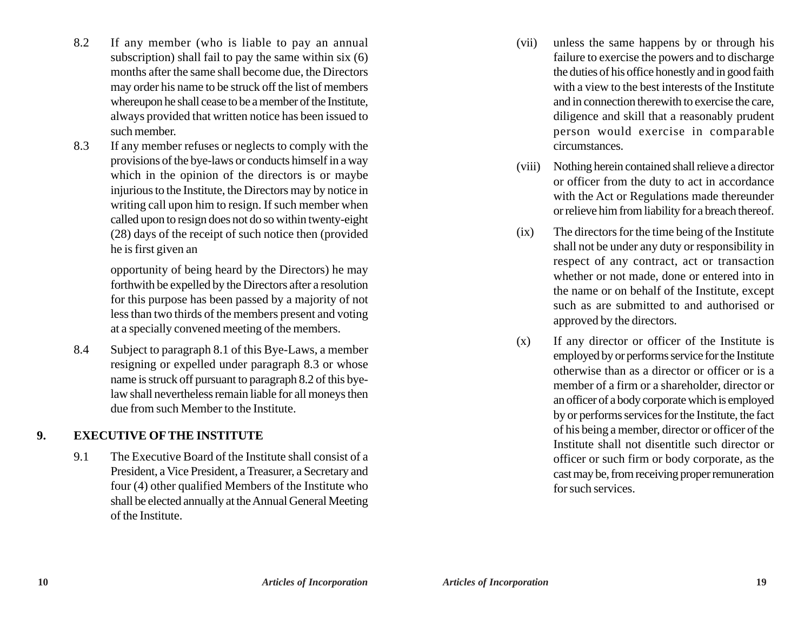- 8.2 If any member (who is liable to pay an annual subscription) shall fail to pay the same within six (6) months after the same shall become due, the Directors may order his name to be struck off the list of members whereupon he shall cease to be a member of the Institute, always provided that written notice has been issued to such member.
- 8.3 If any member refuses or neglects to comply with the provisions of the bye-laws or conducts himself in a way which in the opinion of the directors is or maybe injurious to the Institute, the Directors may by notice in writing call upon him to resign. If such member when called upon to resign does not do so within twenty-eight (28) days of the receipt of such notice then (provided he is first given an

opportunity of being heard by the Directors) he may forthwith be expelled by the Directors after a resolution for this purpose has been passed by a majority of not less than two thirds of the members present and voting at a specially convened meeting of the members.

8.4 Subject to paragraph 8.1 of this Bye-Laws, a member resigning or expelled under paragraph 8.3 or whose name is struck off pursuant to paragraph 8.2 of this byelaw shall nevertheless remain liable for all moneys then due from such Member to the Institute.

### **9. EXECUTIVE OF THE INSTITUTE**

9.1 The Executive Board of the Institute shall consist of a President, a Vice President, a Treasurer, a Secretary and four (4) other qualified Members of the Institute who shall be elected annually at the Annual General Meeting of the Institute.

- (vii) unless the same happens by or through his failure to exercise the powers and to discharge the duties of his office honestly and in good faith with a view to the best interests of the Institute and in connection therewith to exercise the care, diligence and skill that a reasonably prudent person would exercise in comparable circumstances.
- (viii) Nothing herein contained shall relieve a director or officer from the duty to act in accordance with the Act or Regulations made thereunder or relieve him from liability for a breach thereof.
- (ix) The directors for the time being of the Institute shall not be under any duty or responsibility in respect of any contract, act or transaction whether or not made, done or entered into in the name or on behalf of the Institute, except such as are submitted to and authorised or approved by the directors.
- (x) If any director or officer of the Institute is employed by or performs service for the Institute otherwise than as a director or officer or is a member of a firm or a shareholder, director or an officer of a body corporate which is employed by or performs services for the Institute, the fact of his being a member, director or officer of the Institute shall not disentitle such director or officer or such firm or body corporate, as the cast may be, from receiving proper remuneration for such services.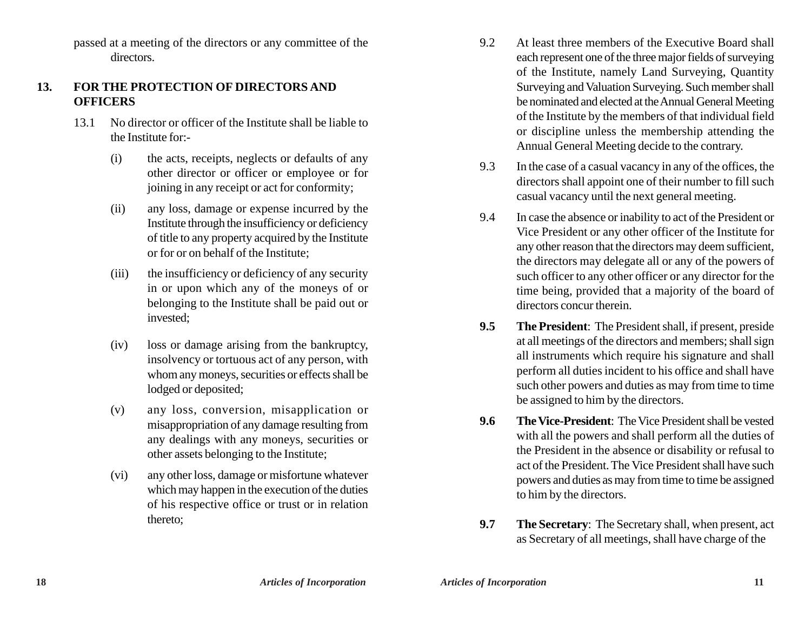passed at a meeting of the directors or any committee of the directors.

### **13. FOR THE PROTECTION OF DIRECTORS AND OFFICERS**

- 13.1 No director or officer of the Institute shall be liable to the Institute for:-
	- (i) the acts, receipts, neglects or defaults of any other director or officer or employee or for joining in any receipt or act for conformity;
	- (ii) any loss, damage or expense incurred by the Institute through the insufficiency or deficiency of title to any property acquired by the Institute or for or on behalf of the Institute;
	- (iii) the insufficiency or deficiency of any security in or upon which any of the moneys of or belonging to the Institute shall be paid out or invested;
	- (iv) loss or damage arising from the bankruptcy, insolvency or tortuous act of any person, with whom any moneys, securities or effects shall be lodged or deposited;
	- (v) any loss, conversion, misapplication or misappropriation of any damage resulting from any dealings with any moneys, securities or other assets belonging to the Institute;
	- (vi) any other loss, damage or misfortune whatever which may happen in the execution of the duties of his respective office or trust or in relation thereto;
- 9.2 At least three members of the Executive Board shall each represent one of the three major fields of surveying of the Institute, namely Land Surveying, Quantity Surveying and Valuation Surveying. Such member shall be nominated and elected at the Annual General Meeting of the Institute by the members of that individual field or discipline unless the membership attending the Annual General Meeting decide to the contrary.
- 9.3 In the case of a casual vacancy in any of the offices, the directors shall appoint one of their number to fill such casual vacancy until the next general meeting.
- 9.4 In case the absence or inability to act of the President or Vice President or any other officer of the Institute for any other reason that the directors may deem sufficient, the directors may delegate all or any of the powers of such officer to any other officer or any director for the time being, provided that a majority of the board of directors concur therein.
- **9.5 The President**: The President shall, if present, preside at all meetings of the directors and members; shall sign all instruments which require his signature and shall perform all duties incident to his office and shall have such other powers and duties as may from time to time be assigned to him by the directors.
- **9.6 The Vice-President**: The Vice President shall be vested with all the powers and shall perform all the duties of the President in the absence or disability or refusal to act of the President. The Vice President shall have such powers and duties as may from time to time be assigned to him by the directors.
- **9.7 The Secretary**: The Secretary shall, when present, act as Secretary of all meetings, shall have charge of the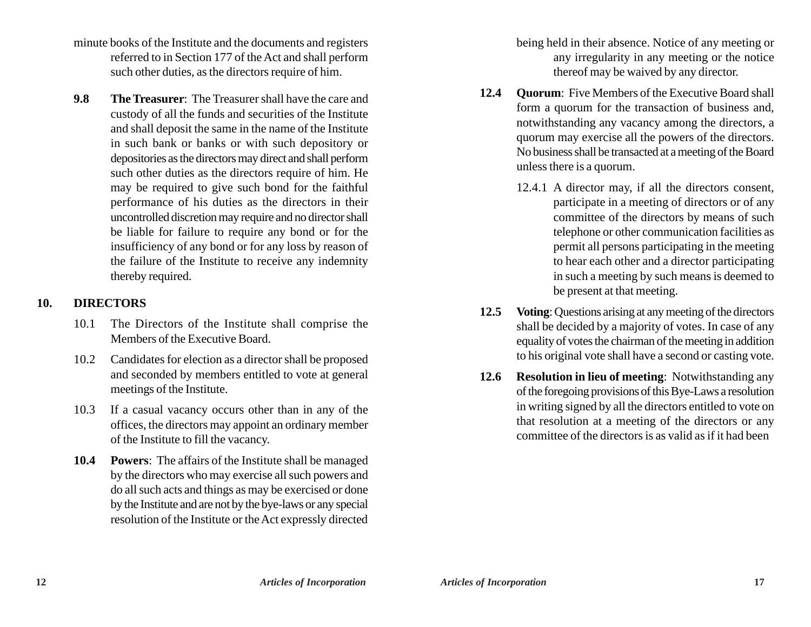- minute books of the Institute and the documents and registers referred to in Section 177 of the Act and shall perform such other duties, as the directors require of him.
- **9.8 The Treasurer**: The Treasurer shall have the care and custody of all the funds and securities of the Institute and shall deposit the same in the name of the Institute in such bank or banks or with such depository or depositories as the directors may direct and shall perform such other duties as the directors require of him. He may be required to give such bond for the faithful performance of his duties as the directors in their uncontrolled discretion may require and no director shall be liable for failure to require any bond or for the insufficiency of any bond or for any loss by reason of the failure of the Institute to receive any indemnity thereby required.

# **10. DIRECTORS**

- 10.1 The Directors of the Institute shall comprise the Members of the Executive Board.
- 10.2 Candidates for election as a director shall be proposed and seconded by members entitled to vote at general meetings of the Institute.
- 10.3 If a casual vacancy occurs other than in any of the offices, the directors may appoint an ordinary member of the Institute to fill the vacancy.
- **10.4 Powers**: The affairs of the Institute shall be managed by the directors who may exercise all such powers and do all such acts and things as may be exercised or done by the Institute and are not by the bye-laws or any special resolution of the Institute or the Act expressly directed

being held in their absence. Notice of any meeting or any irregularity in any meeting or the notice thereof may be waived by any director.

- **12.4 Quorum**: Five Members of the Executive Board shall form a quorum for the transaction of business and, notwithstanding any vacancy among the directors, a quorum may exercise all the powers of the directors. No business shall be transacted at a meeting of the Board unless there is a quorum.
	- 12.4.1 A director may, if all the directors consent, participate in a meeting of directors or of any committee of the directors by means of such telephone or other communication facilities as permit all persons participating in the meeting to hear each other and a director participating in such a meeting by such means is deemed to be present at that meeting.
- **12.5 Voting**: Questions arising at any meeting of the directors shall be decided by a majority of votes. In case of any equality of votes the chairman of the meeting in addition to his original vote shall have a second or casting vote.
- **12.6 Resolution in lieu of meeting**: Notwithstanding any of the foregoing provisions of this Bye-Laws a resolution in writing signed by all the directors entitled to vote on that resolution at a meeting of the directors or any committee of the directors is as valid as if it had been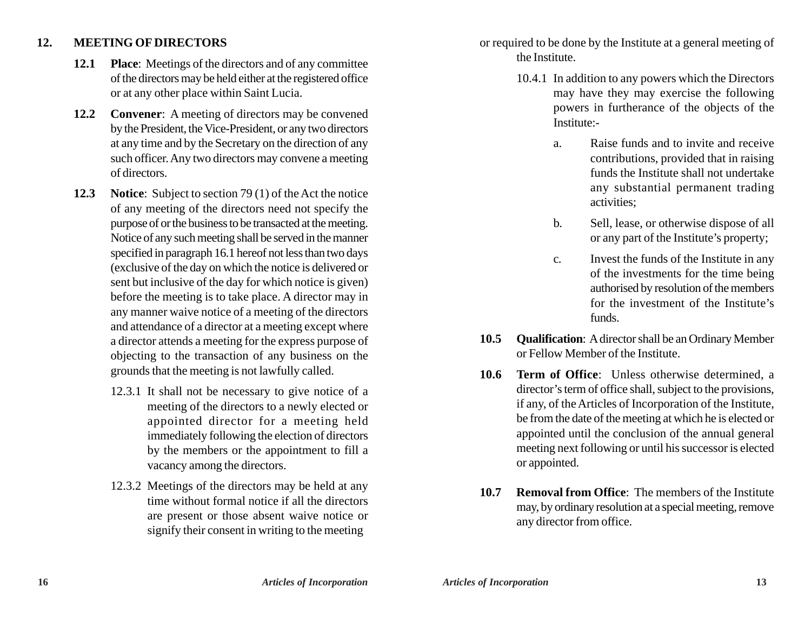### **12. MEETING OF DIRECTORS**

- **12.1 Place**: Meetings of the directors and of any committee of the directors may be held either at the registered office or at any other place within Saint Lucia.
- **12.2 Convener**: A meeting of directors may be convened by the President, the Vice-President, or any two directors at any time and by the Secretary on the direction of any such officer. Any two directors may convene a meeting of directors.
- **12.3 Notice**: Subject to section 79 (1) of the Act the notice of any meeting of the directors need not specify the purpose of or the business to be transacted at the meeting. Notice of any such meeting shall be served in the manner specified in paragraph 16.1 hereof not less than two days (exclusive of the day on which the notice is delivered or sent but inclusive of the day for which notice is given) before the meeting is to take place. A director may in any manner waive notice of a meeting of the directors and attendance of a director at a meeting except where a director attends a meeting for the express purpose of objecting to the transaction of any business on the grounds that the meeting is not lawfully called.
	- 12.3.1 It shall not be necessary to give notice of a meeting of the directors to a newly elected or appointed director for a meeting held immediately following the election of directors by the members or the appointment to fill a vacancy among the directors.
	- 12.3.2 Meetings of the directors may be held at any time without formal notice if all the directors are present or those absent waive notice or signify their consent in writing to the meeting

or required to be done by the Institute at a general meeting of the Institute.

- 10.4.1 In addition to any powers which the Directors may have they may exercise the following powers in furtherance of the objects of the Institute:
	- a. Raise funds and to invite and receive contributions, provided that in raising funds the Institute shall not undertake any substantial permanent trading activities;
	- b. Sell, lease, or otherwise dispose of all or any part of the Institute's property;
	- c. Invest the funds of the Institute in any of the investments for the time being authorised by resolution of the members for the investment of the Institute's funds.
- **10.5 Qualification**: A director shall be an Ordinary Member or Fellow Member of the Institute.
- **10.6 Term of Office**: Unless otherwise determined, a director's term of office shall, subject to the provisions, if any, of the Articles of Incorporation of the Institute, be from the date of the meeting at which he is elected or appointed until the conclusion of the annual general meeting next following or until his successor is elected or appointed.
- **10.7 Removal from Office**: The members of the Institute may, by ordinary resolution at a special meeting, remove any director from office.